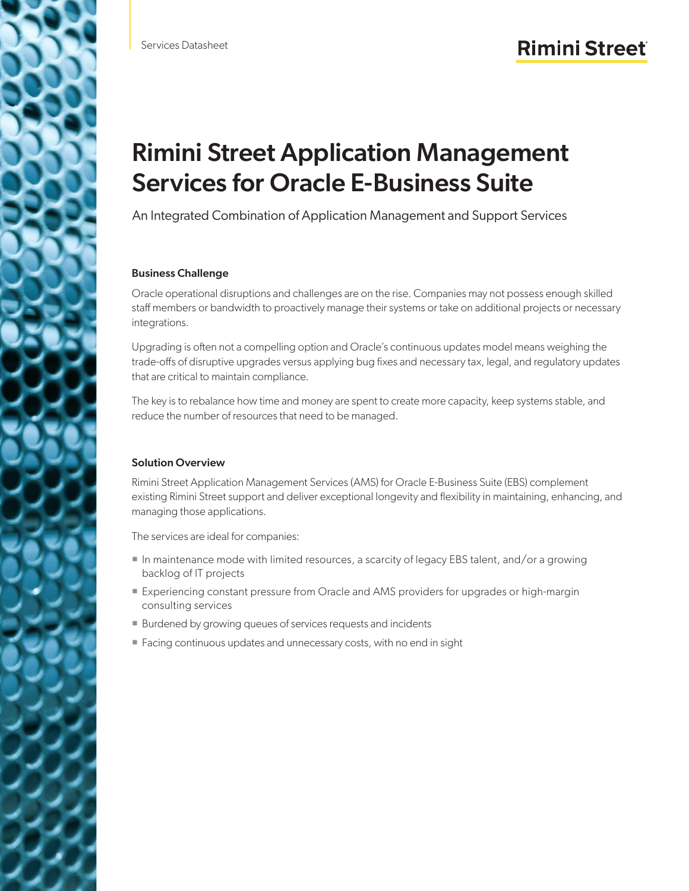# Rimini Street Application Management Services for Oracle E-Business Suite

An Integrated Combination of Application Management and Support Services

### Business Challenge

Oracle operational disruptions and challenges are on the rise. Companies may not possess enough skilled staff members or bandwidth to proactively manage their systems or take on additional projects or necessary integrations.

Upgrading is often not a compelling option and Oracle's continuous updates model means weighing the trade-offs of disruptive upgrades versus applying bug fixes and necessary tax, legal, and regulatory updates that are critical to maintain compliance.

The key is to rebalance how time and money are spent to create more capacity, keep systems stable, and reduce the number of resources that need to be managed.

### Solution Overview

Rimini Street Application Management Services (AMS) for Oracle E-Business Suite (EBS) complement existing Rimini Street support and deliver exceptional longevity and flexibility in maintaining, enhancing, and managing those applications.

The services are ideal for companies:

- In maintenance mode with limited resources, a scarcity of legacy EBS talent, and/or a growing backlog of IT projects
- Experiencing constant pressure from Oracle and AMS providers for upgrades or high-margin consulting services
- **Burdened by growing queues of services requests and incidents**
- Facing continuous updates and unnecessary costs, with no end in sight